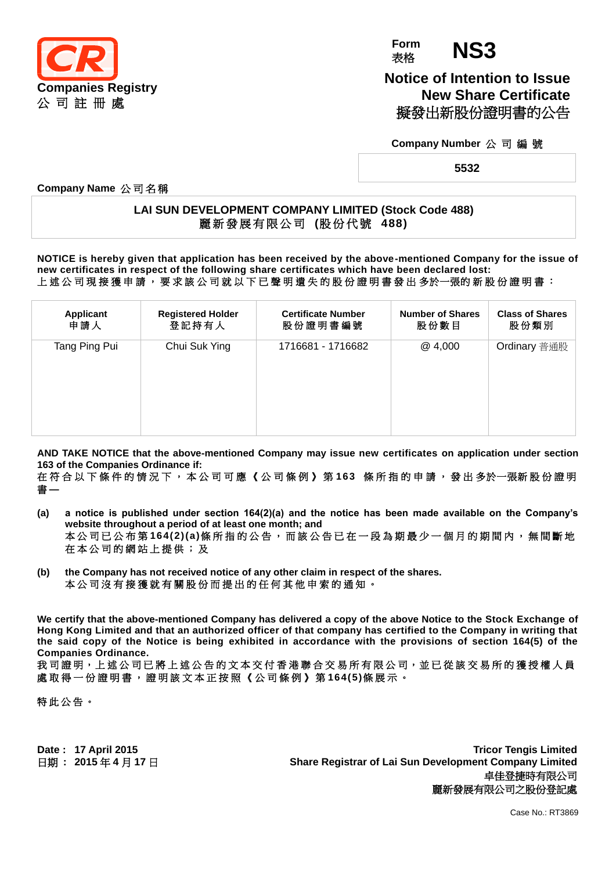

**Form Form NS3** 

**Notice of Intention to Issue New Share Certificate** 擬發出新股份證明書的公告

**Company Number** 公 司 編 號

**5532**

**Company Name** 公 司 名 稱

## **LAI SUN DEVELOPMENT COMPANY LIMITED (Stock Code 488)** 麗 新 發 展 有 限 公 司 **(**股份代號 **488)**

**NOTICE is hereby given that application has been received by the above-mentioned Company for the issue of new certificates in respect of the following share certificates which have been declared lost:** 上 述 公 司 現 接 獲 申 請 , 要 求 該 公 司 就 以 下 已 聲 明 遺 失 的 股 份 證 明 書 發 出 多於一張的 新 股 份 證 明 書 :

| <b>Applicant</b> | <b>Registered Holder</b> | <b>Certificate Number</b> | <b>Number of Shares</b> | <b>Class of Shares</b> |
|------------------|--------------------------|---------------------------|-------------------------|------------------------|
| 申請人              | 登記持有人                    | 股份證明書編號                   | 股份數目                    | 股份類別                   |
| Tang Ping Pui    | Chui Suk Ying            | 1716681 - 1716682         | @ 4,000                 | Ordinary 普通股           |

**AND TAKE NOTICE that the above-mentioned Company may issue new certificates on application under section 163 of the Companies Ordinance if:**

在 符 合 以 下 條 件 的 情 況 下 , 本 公 司 可 應 《 公 司 條 例 》 第 **163** 條 所 指 的 申 請 , 發 出 多於一張新 股 份 證 明 書 **—**

- **(a) a notice is published under section 164(2)(a) and the notice has been made available on the Company's website throughout a period of at least one month; and** 本公司已公布第164(2)(a)條所指的公告,而該公告已在一段為期最少一個月的期間內,無間斷地 在 本 公 司 的 網 站 上 提 供 ; 及
- **(b) the Company has not received notice of any other claim in respect of the shares.** 本 公 司 沒 有 接 獲 就 有 關 股 份 而 提 出 的 任 何 其 他 申 索 的 通 知 。

**We certify that the above-mentioned Company has delivered a copy of the above Notice to the Stock Exchange of Hong Kong Limited and that an authorized officer of that company has certified to the Company in writing that the said copy of the Notice is being exhibited in accordance with the provisions of section 164(5) of the Companies Ordinance.**

我司證明,上述公司已將上述公告的文本交付香港聯合交易所有限公司,並已從該交易所的獲授權人員 處 取 得 一 份 證 明 書 , 證 明 該 文 本 正 按 照 《 公 司 條 例 》 第 **164(5)**條 展 示 。

特此公告。

**Date : 17 April 2015 Tricor Tengis Limited** 日期 **: 2015** 年 **4** 月 **17** 日 **Share Registrar of Lai Sun Development Company Limited** 卓佳登捷時有限公司 麗新發展有限公司之股份登記處